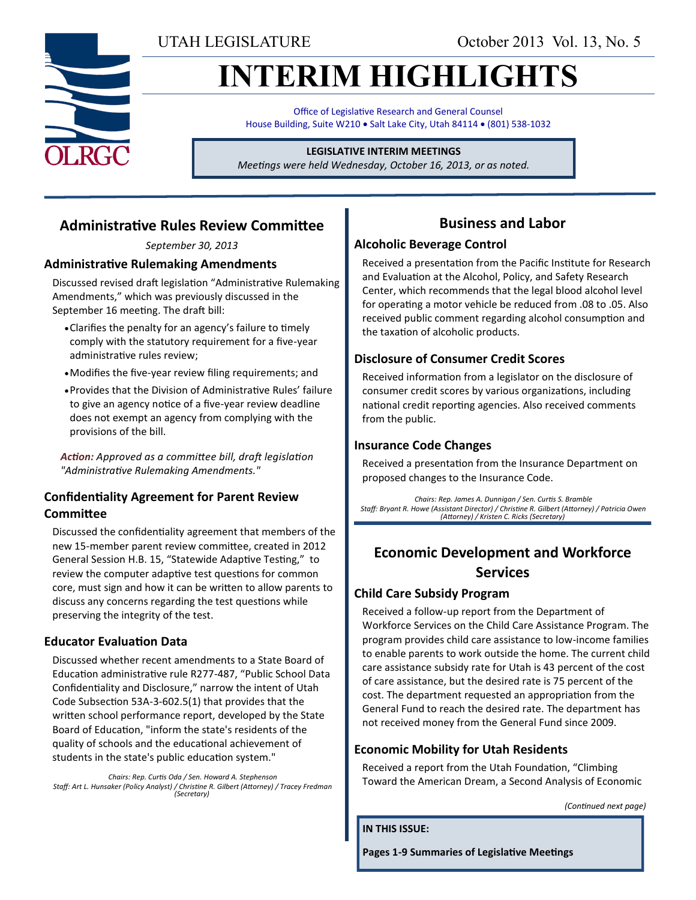UTAH LEGISLATURE October 2013 Vol. 13, No. 5

# **INTERIM HIGHLIGHTS**

Office of Legislative Research and General Counsel House Building, Suite W210 . Salt Lake City, Utah 84114 . (801) 538-1032

## **LEGISLATIVE INTERIM MEETINGS**

*Meetings were held Wednesday, October 16, 2013, or as noted.*

## **Administrative Rules Review Committee**

*September 30, 2013*

## **Administrative Rulemaking Amendments**

Discussed revised draft legislation "Administrative Rulemaking Amendments," which was previously discussed in the September 16 meeting. The draft bill:

- Clarifies the penalty for an agency's failure to timely comply with the statutory requirement for a five-year administrative rules review;
- Modifies the five-year review filing requirements; and
- Provides that the Division of Administrative Rules' failure to give an agency notice of a five-year review deadline does not exempt an agency from complying with the provisions of the bill.

*Action: Approved as a committee bill, draft legislation "Administrative Rulemaking Amendments."* 

## **Confidentiality Agreement for Parent Review Committee**

Discussed the confidentiality agreement that members of the new 15-member parent review committee, created in 2012 General Session H.B. 15, "Statewide Adaptive Testing," to review the computer adaptive test questions for common core, must sign and how it can be written to allow parents to discuss any concerns regarding the test questions while preserving the integrity of the test.

## **Educator Evaluation Data**

Discussed whether recent amendments to a State Board of Education administrative rule R277-487, "Public School Data Confidentiality and Disclosure," narrow the intent of Utah Code Subsection 53A-3-602.5(1) that provides that the written school performance report, developed by the State Board of Education, "inform the state's residents of the quality of schools and the educational achievement of students in the state's public education system."

*Chairs: Rep. Curtis Oda / Sen. Howard A. Stephenson Staff: Art L. Hunsaker (Policy Analyst) / Christine R. Gilbert (Attorney) / Tracey Fredman (Secretary)*

## **Business and Labor**

#### **Alcoholic Beverage Control**

Received a presentation from the Pacific Institute for Research and Evaluation at the Alcohol, Policy, and Safety Research Center, which recommends that the legal blood alcohol level for operating a motor vehicle be reduced from .08 to .05. Also received public comment regarding alcohol consumption and the taxation of alcoholic products.

## **Disclosure of Consumer Credit Scores**

Received information from a legislator on the disclosure of consumer credit scores by various organizations, including national credit reporting agencies. Also received comments from the public.

## **Insurance Code Changes**

Received a presentation from the Insurance Department on proposed changes to the Insurance Code.

*Chairs: Rep. James A. Dunnigan / Sen. Curtis S. Bramble Staff: Bryant R. Howe (Assistant Director) / Christine R. Gilbert (Attorney) / Patricia Owen (Attorney) / Kristen C. Ricks (Secretary)*

## **Economic Development and Workforce Services**

## **Child Care Subsidy Program**

Received a follow-up report from the Department of Workforce Services on the Child Care Assistance Program. The program provides child care assistance to low-income families to enable parents to work outside the home. The current child care assistance subsidy rate for Utah is 43 percent of the cost of care assistance, but the desired rate is 75 percent of the cost. The department requested an appropriation from the General Fund to reach the desired rate. The department has not received money from the General Fund since 2009.

## **Economic Mobility for Utah Residents**

Received a report from the Utah Foundation, "Climbing Toward the American Dream, a Second Analysis of Economic

*(Continued next page)*

**IN THIS ISSUE:**

**Pages 1-9 Summaries of Legislative Meetings**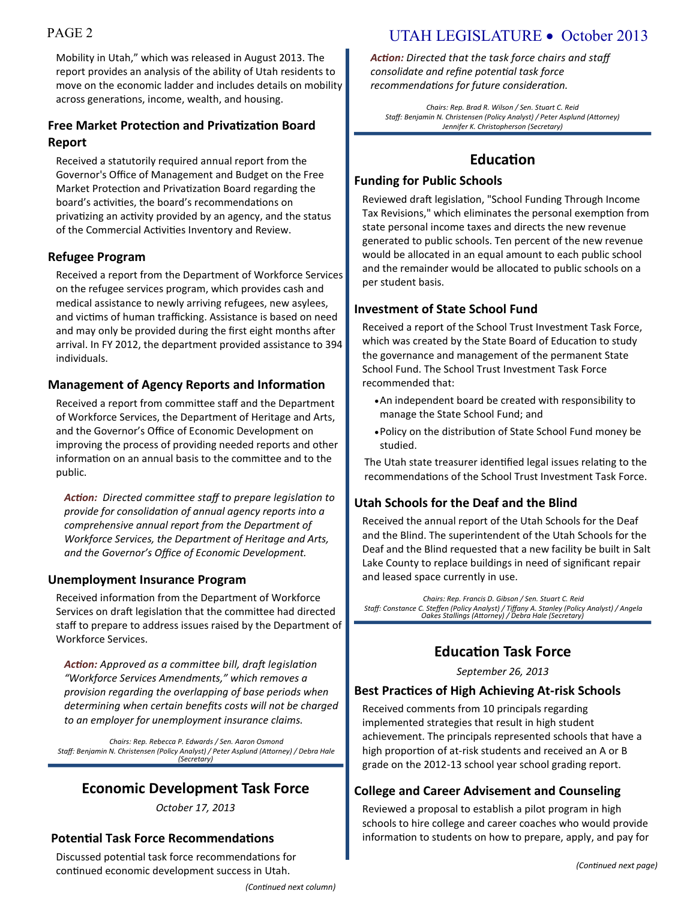Mobility in Utah," which was released in August 2013. The report provides an analysis of the ability of Utah residents to move on the economic ladder and includes details on mobility across generations, income, wealth, and housing.

## **Free Market Protection and Privatization Board Report**

Received a statutorily required annual report from the Governor's Office of Management and Budget on the Free Market Protection and Privatization Board regarding the board's activities, the board's recommendations on privatizing an activity provided by an agency, and the status of the Commercial Activities Inventory and Review.

## **Refugee Program**

Received a report from the Department of Workforce Services on the refugee services program, which provides cash and medical assistance to newly arriving refugees, new asylees, and victims of human trafficking. Assistance is based on need and may only be provided during the first eight months after arrival. In FY 2012, the department provided assistance to 394 individuals.

## **Management of Agency Reports and Information**

Received a report from committee staff and the Department of Workforce Services, the Department of Heritage and Arts, and the Governor's Office of Economic Development on improving the process of providing needed reports and other information on an annual basis to the committee and to the public.

*Action: Directed committee staff to prepare legislation to provide for consolidation of annual agency reports into a comprehensive annual report from the Department of Workforce Services, the Department of Heritage and Arts, and the Governor's Office of Economic Development.*

## **Unemployment Insurance Program**

Received information from the Department of Workforce Services on draft legislation that the committee had directed staff to prepare to address issues raised by the Department of Workforce Services.

*Action: Approved as a committee bill, draft legislation "Workforce Services Amendments," which removes a provision regarding the overlapping of base periods when determining when certain benefits costs will not be charged to an employer for unemployment insurance claims.*

*Chairs: Rep. Rebecca P. Edwards / Sen. Aaron Osmond Staff: Benjamin N. Christensen (Policy Analyst) / Peter Asplund (Attorney) / Debra Hale (Secretary)*

## **Economic Development Task Force**

*October 17, 2013*

## **Potential Task Force Recommendations**

Discussed potential task force recommendations for continued economic development success in Utah.

## PAGE 2 UTAH LEGISLATURE • October 2013

*Action: Directed that the task force chairs and staff consolidate and refine potential task force recommendations for future consideration.*

*Chairs: Rep. Brad R. Wilson / Sen. Stuart C. Reid Staff: Benjamin N. Christensen (Policy Analyst) / Peter Asplund (Attorney) Jennifer K. Christopherson (Secretary)* 

## **Education**

## **Funding for Public Schools**

Reviewed draft legislation, "School Funding Through Income Tax Revisions," which eliminates the personal exemption from state personal income taxes and directs the new revenue generated to public schools. Ten percent of the new revenue would be allocated in an equal amount to each public school and the remainder would be allocated to public schools on a per student basis.

## **Investment of State School Fund**

Received a report of the School Trust Investment Task Force, which was created by the State Board of Education to study the governance and management of the permanent State School Fund. The School Trust Investment Task Force recommended that:

- An independent board be created with responsibility to manage the State School Fund; and
- Policy on the distribution of State School Fund money be studied.

The Utah state treasurer identified legal issues relating to the recommendations of the School Trust Investment Task Force.

## **Utah Schools for the Deaf and the Blind**

Received the annual report of the Utah Schools for the Deaf and the Blind. The superintendent of the Utah Schools for the Deaf and the Blind requested that a new facility be built in Salt Lake County to replace buildings in need of significant repair and leased space currently in use.

*Chairs: Rep. Francis D. Gibson / Sen. Stuart C. Reid Staff: Constance C. Steffen (Policy Analyst) / Tiffany A. Stanley (Policy Analyst) / Angela Oakes Stallings (Attorney) / Debra Hale (Secretary)*

## **Education Task Force**

*September 26, 2013*

## **Best Practices of High Achieving At-risk Schools**

Received comments from 10 principals regarding implemented strategies that result in high student achievement. The principals represented schools that have a high proportion of at-risk students and received an A or B grade on the 2012-13 school year school grading report.

## **College and Career Advisement and Counseling**

Reviewed a proposal to establish a pilot program in high schools to hire college and career coaches who would provide information to students on how to prepare, apply, and pay for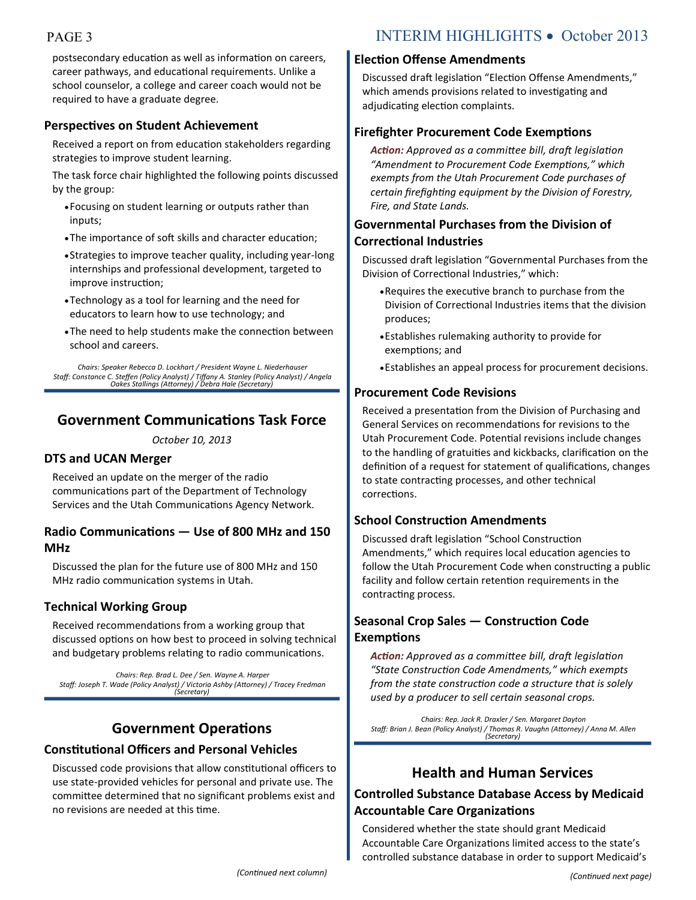postsecondary education as well as information on careers, career pathways, and educational requirements. Unlike a school counselor, a college and career coach would not be required to have a graduate degree.

## **Perspectives on Student Achievement**

Received a report on from education stakeholders regarding strategies to improve student learning.

The task force chair highlighted the following points discussed by the group:

- Focusing on student learning or outputs rather than inputs;
- The importance of soft skills and character education;
- Strategies to improve teacher quality, including year-long internships and professional development, targeted to improve instruction;
- Technology as a tool for learning and the need for educators to learn how to use technology; and
- The need to help students make the connection between school and careers.

*Chairs: Speaker Rebecca D. Lockhart / President Wayne L. Niederhauser Staff: Constance C. Steffen (Policy Analyst) / Tiffany A. Stanley (Policy Analyst) / Angela Oakes Stallings (Attorney) / Debra Hale (Secretary)*

## **Government Communications Task Force**

*October 10, 2013*

## **DTS and UCAN Merger**

Received an update on the merger of the radio communications part of the Department of Technology Services and the Utah Communications Agency Network.

## **Radio Communications — Use of 800 MHz and 150 MHz**

Discussed the plan for the future use of 800 MHz and 150 MHz radio communication systems in Utah.

## **Technical Working Group**

Received recommendations from a working group that discussed options on how best to proceed in solving technical and budgetary problems relating to radio communications.

*Chairs: Rep. Brad L. Dee / Sen. Wayne A. Harper Staff: Joseph T. Wade (Policy Analyst) / Victoria Ashby (Attorney) / Tracey Fredman (Secretary)*

## **Government Operations**

## **Constitutional Officers and Personal Vehicles**

Discussed code provisions that allow constitutional officers to use state-provided vehicles for personal and private use. The committee determined that no significant problems exist and no revisions are needed at this time.

#### **Election Offense Amendments**

Discussed draft legislation "Election Offense Amendments," which amends provisions related to investigating and adjudicating election complaints.

## **Firefighter Procurement Code Exemptions**

*Action: Approved as a committee bill, draft legislation "Amendment to Procurement Code Exemptions," which exempts from the Utah Procurement Code purchases of certain firefighting equipment by the Division of Forestry, Fire, and State Lands.*

## **Governmental Purchases from the Division of Correctional Industries**

Discussed draft legislation "Governmental Purchases from the Division of Correctional Industries," which:

- Requires the executive branch to purchase from the Division of Correctional Industries items that the division produces;
- Establishes rulemaking authority to provide for exemptions; and
- Establishes an appeal process for procurement decisions.

#### **Procurement Code Revisions**

Received a presentation from the Division of Purchasing and General Services on recommendations for revisions to the Utah Procurement Code. Potential revisions include changes to the handling of gratuities and kickbacks, clarification on the definition of a request for statement of qualifications, changes to state contracting processes, and other technical corrections.

## **School Construction Amendments**

Discussed draft legislation "School Construction Amendments," which requires local education agencies to follow the Utah Procurement Code when constructing a public facility and follow certain retention requirements in the contracting process.

## **Seasonal Crop Sales — Construction Code Exemptions**

*Action: Approved as a committee bill, draft legislation "State Construction Code Amendments," which exempts from the state construction code a structure that is solely used by a producer to sell certain seasonal crops.*

*Chairs: Rep. Jack R. Draxler / Sen. Margaret Dayton Staff: Brian J. Bean (Policy Analyst) / Thomas R. Vaughn (Attorney) / Anna M. Allen (Secretary)*

## **Health and Human Services**

## **Controlled Substance Database Access by Medicaid Accountable Care Organizations**

Considered whether the state should grant Medicaid Accountable Care Organizations limited access to the state's controlled substance database in order to support Medicaid's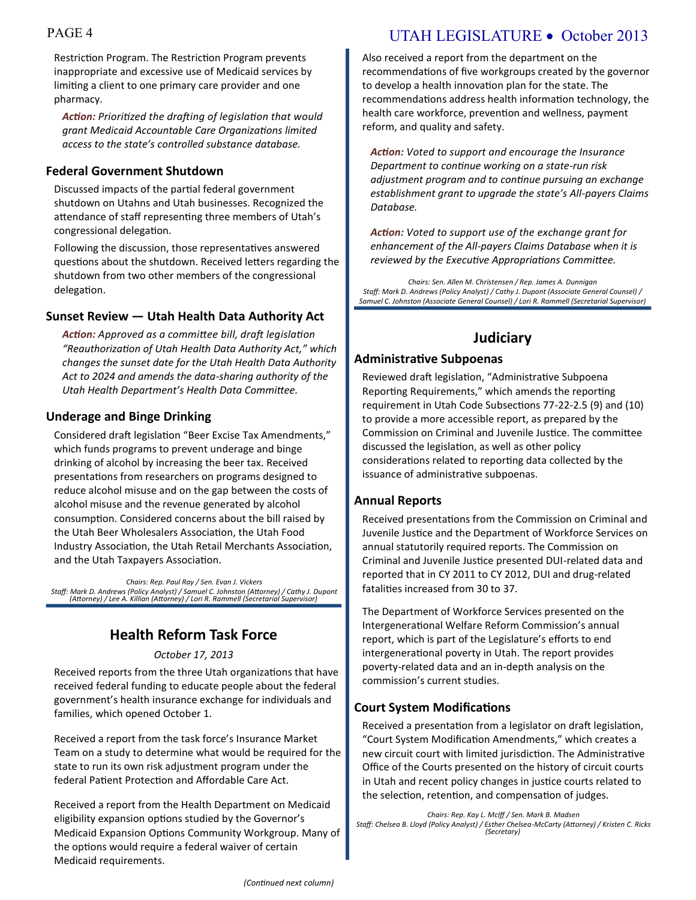Restriction Program. The Restriction Program prevents inappropriate and excessive use of Medicaid services by limiting a client to one primary care provider and one pharmacy.

*Action: Prioritized the drafting of legislation that would grant Medicaid Accountable Care Organizations limited access to the state's controlled substance database.*

## **Federal Government Shutdown**

Discussed impacts of the partial federal government shutdown on Utahns and Utah businesses. Recognized the attendance of staff representing three members of Utah's congressional delegation.

Following the discussion, those representatives answered questions about the shutdown. Received letters regarding the shutdown from two other members of the congressional delegation.

## **Sunset Review — Utah Health Data Authority Act**

*Action: Approved as a committee bill, draft legislation "Reauthorization of Utah Health Data Authority Act," which changes the sunset date for the Utah Health Data Authority Act to 2024 and amends the data-sharing authority of the Utah Health Department's Health Data Committee.*

## **Underage and Binge Drinking**

Considered draft legislation "Beer Excise Tax Amendments," which funds programs to prevent underage and binge drinking of alcohol by increasing the beer tax. Received presentations from researchers on programs designed to reduce alcohol misuse and on the gap between the costs of alcohol misuse and the revenue generated by alcohol consumption. Considered concerns about the bill raised by the Utah Beer Wholesalers Association, the Utah Food Industry Association, the Utah Retail Merchants Association, and the Utah Taxpayers Association.

*Chairs: Rep. Paul Ray / Sen. Evan J. Vickers Staff: Mark D. Andrews (Policy Analyst) / Samuel C. Johnston (Attorney) / Cathy J. Dupont (Attorney) / Lee A. Killian (Attorney) / Lori R. Rammell (Secretarial Supervisor)*

## **Health Reform Task Force**

#### *October 17, 2013*

Received reports from the three Utah organizations that have received federal funding to educate people about the federal government's health insurance exchange for individuals and families, which opened October 1.

Received a report from the task force's Insurance Market Team on a study to determine what would be required for the state to run its own risk adjustment program under the federal Patient Protection and Affordable Care Act.

Received a report from the Health Department on Medicaid eligibility expansion options studied by the Governor's Medicaid Expansion Options Community Workgroup. Many of the options would require a federal waiver of certain Medicaid requirements.

## PAGE 4 UTAH LEGISLATURE • October 2013

Also received a report from the department on the recommendations of five workgroups created by the governor to develop a health innovation plan for the state. The recommendations address health information technology, the health care workforce, prevention and wellness, payment reform, and quality and safety.

*Action: Voted to support and encourage the Insurance Department to continue working on a state-run risk adjustment program and to continue pursuing an exchange establishment grant to upgrade the state's All-payers Claims Database.*

*Action: Voted to support use of the exchange grant for enhancement of the All-payers Claims Database when it is reviewed by the Executive Appropriations Committee.*

*Chairs: Sen. Allen M. Christensen / Rep. James A. Dunnigan Staff: Mark D. Andrews (Policy Analyst) / Cathy J. Dupont (Associate General Counsel) / Samuel C. Johnston (Associate General Counsel) / Lori R. Rammell (Secretarial Supervisor)* 

## **Judiciary**

## **Administrative Subpoenas**

Reviewed draft legislation, "Administrative Subpoena Reporting Requirements," which amends the reporting requirement in Utah Code Subsections 77-22-2.5 (9) and (10) to provide a more accessible report, as prepared by the Commission on Criminal and Juvenile Justice. The committee discussed the legislation, as well as other policy considerations related to reporting data collected by the issuance of administrative subpoenas.

## **Annual Reports**

Received presentations from the Commission on Criminal and Juvenile Justice and the Department of Workforce Services on annual statutorily required reports. The Commission on Criminal and Juvenile Justice presented DUI-related data and reported that in CY 2011 to CY 2012, DUI and drug-related fatalities increased from 30 to 37.

The Department of Workforce Services presented on the Intergenerational Welfare Reform Commission's annual report, which is part of the Legislature's efforts to end intergenerational poverty in Utah. The report provides poverty-related data and an in-depth analysis on the commission's current studies.

## **Court System Modifications**

Received a presentation from a legislator on draft legislation, "Court System Modification Amendments," which creates a new circuit court with limited jurisdiction. The Administrative Office of the Courts presented on the history of circuit courts in Utah and recent policy changes in justice courts related to the selection, retention, and compensation of judges.

*Chairs: Rep. Kay L. McIff / Sen. Mark B. Madsen Staff: Chelsea B. Lloyd (Policy Analyst) / Esther Chelsea-McCarty (Attorney) / Kristen C. Ricks (Secretary)*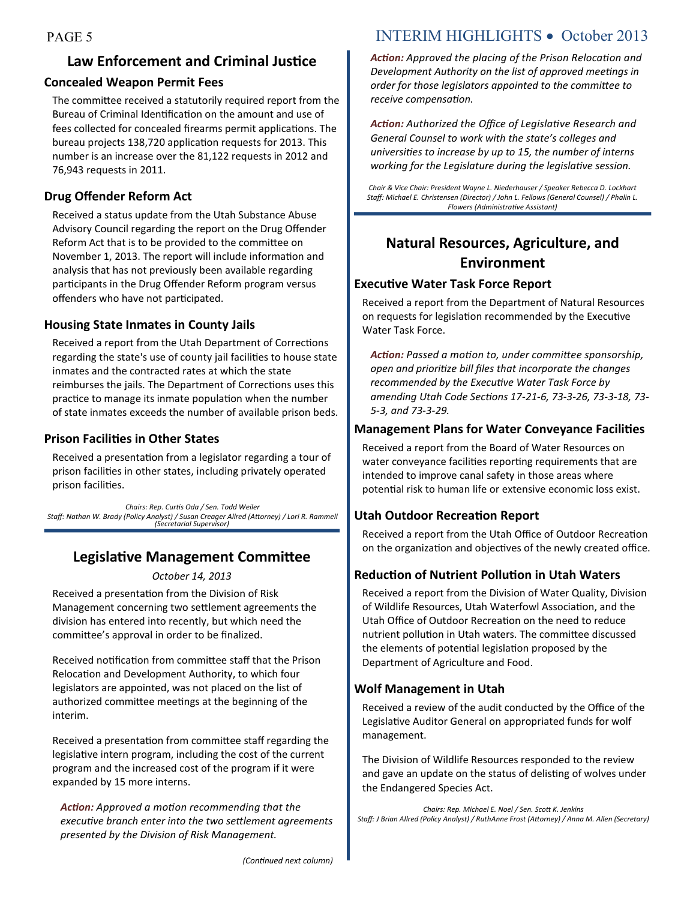# **Law Enforcement and Criminal Justice**

#### **Concealed Weapon Permit Fees**

The committee received a statutorily required report from the Bureau of Criminal Identification on the amount and use of fees collected for concealed firearms permit applications. The bureau projects 138,720 application requests for 2013. This number is an increase over the 81,122 requests in 2012 and 76,943 requests in 2011.

## **Drug Offender Reform Act**

Received a status update from the Utah Substance Abuse Advisory Council regarding the report on the Drug Offender Reform Act that is to be provided to the committee on November 1, 2013. The report will include information and analysis that has not previously been available regarding participants in the Drug Offender Reform program versus offenders who have not participated.

## **Housing State Inmates in County Jails**

Received a report from the Utah Department of Corrections regarding the state's use of county jail facilities to house state inmates and the contracted rates at which the state reimburses the jails. The Department of Corrections uses this practice to manage its inmate population when the number of state inmates exceeds the number of available prison beds.

## **Prison Facilities in Other States**

Received a presentation from a legislator regarding a tour of prison facilities in other states, including privately operated prison facilities.

*Chairs: Rep. Curtis Oda / Sen. Todd Weiler Staff: Nathan W. Brady (Policy Analyst) / Susan Creager Allred (Attorney) / Lori R. Rammell (Secretarial Supervisor)*

## **Legislative Management Committee**

#### *October 14, 2013*

Received a presentation from the Division of Risk Management concerning two settlement agreements the division has entered into recently, but which need the committee's approval in order to be finalized.

Received notification from committee staff that the Prison Relocation and Development Authority, to which four legislators are appointed, was not placed on the list of authorized committee meetings at the beginning of the interim.

Received a presentation from committee staff regarding the legislative intern program, including the cost of the current program and the increased cost of the program if it were expanded by 15 more interns.

*Action: Approved a motion recommending that the executive branch enter into the two settlement agreements presented by the Division of Risk Management.*

## PAGE 5 INTERIM HIGHLIGHTS • October 2013

*Action: Approved the placing of the Prison Relocation and Development Authority on the list of approved meetings in order for those legislators appointed to the committee to receive compensation.* 

*Action: Authorized the Office of Legislative Research and General Counsel to work with the state's colleges and universities to increase by up to 15, the number of interns working for the Legislature during the legislative session.* 

*Chair & Vice Chair: President Wayne L. Niederhauser / Speaker Rebecca D. Lockhart Staff: Michael E. Christensen (Director) / John L. Fellows (General Counsel) / Phalin L. Flowers (Administrative Assistant)*

## **Natural Resources, Agriculture, and Environment**

## **Executive Water Task Force Report**

Received a report from the Department of Natural Resources on requests for legislation recommended by the Executive Water Task Force.

*Action: Passed a motion to, under committee sponsorship, open and prioritize bill files that incorporate the changes recommended by the Executive Water Task Force by amending Utah Code Sections 17-21-6, 73-3-26, 73-3-18, 73- 5-3, and 73-3-29.*

## **Management Plans for Water Conveyance Facilities**

Received a report from the Board of Water Resources on water conveyance facilities reporting requirements that are intended to improve canal safety in those areas where potential risk to human life or extensive economic loss exist.

## **Utah Outdoor Recreation Report**

Received a report from the Utah Office of Outdoor Recreation on the organization and objectives of the newly created office.

## **Reduction of Nutrient Pollution in Utah Waters**

Received a report from the Division of Water Quality, Division of Wildlife Resources, Utah Waterfowl Association, and the Utah Office of Outdoor Recreation on the need to reduce nutrient pollution in Utah waters. The committee discussed the elements of potential legislation proposed by the Department of Agriculture and Food.

## **Wolf Management in Utah**

Received a review of the audit conducted by the Office of the Legislative Auditor General on appropriated funds for wolf management.

The Division of Wildlife Resources responded to the review and gave an update on the status of delisting of wolves under the Endangered Species Act.

*Chairs: Rep. Michael E. Noel / Sen. Scott K. Jenkins Staff: J Brian Allred (Policy Analyst) / RuthAnne Frost (Attorney) / Anna M. Allen (Secretary)*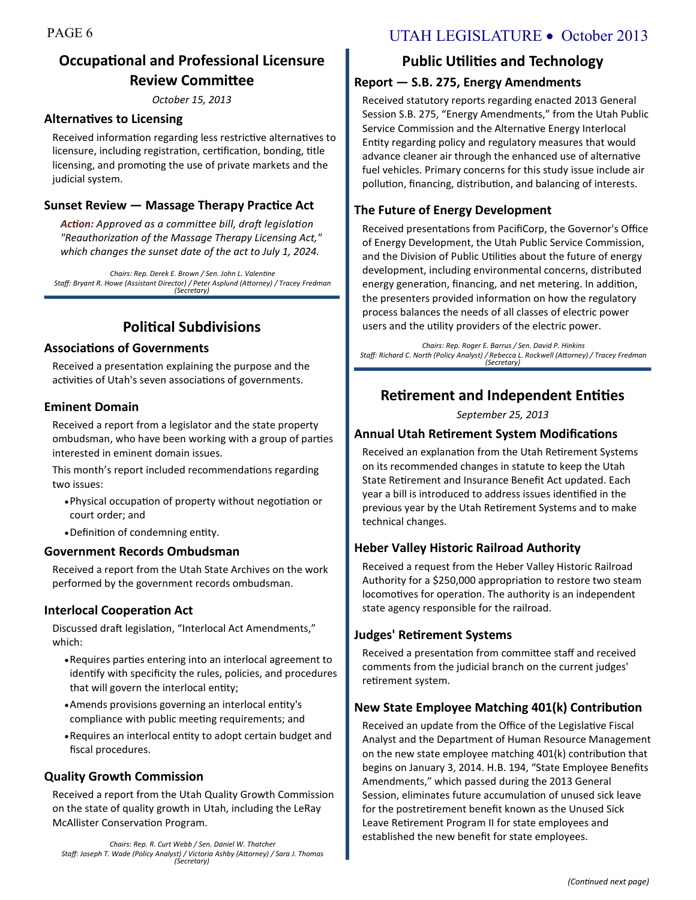## **Occupational and Professional Licensure Review Committee**

*October 15, 2013*

#### **Alternatives to Licensing**

Received information regarding less restrictive alternatives to licensure, including registration, certification, bonding, title licensing, and promoting the use of private markets and the judicial system.

## **Sunset Review — Massage Therapy Practice Act**

*Action: Approved as a committee bill, draft legislation "Reauthorization of the Massage Therapy Licensing Act," which changes the sunset date of the act to July 1, 2024.*

*Chairs: Rep. Derek E. Brown / Sen. John L. Valentine Staff: Bryant R. Howe (Assistant Director) / Peter Asplund (Attorney) / Tracey Fredman (Secretary)*

## **Political Subdivisions**

#### **Associations of Governments**

Received a presentation explaining the purpose and the activities of Utah's seven associations of governments.

#### **Eminent Domain**

Received a report from a legislator and the state property ombudsman, who have been working with a group of parties interested in eminent domain issues.

This month's report included recommendations regarding two issues:

- Physical occupation of property without negotiation or court order; and
- Definition of condemning entity.

#### **Government Records Ombudsman**

Received a report from the Utah State Archives on the work performed by the government records ombudsman.

#### **Interlocal Cooperation Act**

Discussed draft legislation, "Interlocal Act Amendments," which:

- Requires parties entering into an interlocal agreement to identify with specificity the rules, policies, and procedures that will govern the interlocal entity;
- Amends provisions governing an interlocal entity's compliance with public meeting requirements; and
- Requires an interlocal entity to adopt certain budget and fiscal procedures.

## **Quality Growth Commission**

Received a report from the Utah Quality Growth Commission on the state of quality growth in Utah, including the LeRay McAllister Conservation Program.

*Chairs: Rep. R. Curt Webb / Sen. Daniel W. Thatcher Staff: Joseph T. Wade (Policy Analyst) / Victoria Ashby (Attorney) / Sara J. Thomas (Secretary)*

## PAGE 6 UTAH LEGISLATURE • October 2013

## **Public Utilities and Technology**

#### **Report — S.B. 275, Energy Amendments**

Received statutory reports regarding enacted 2013 General Session S.B. 275, "Energy Amendments," from the Utah Public Service Commission and the Alternative Energy Interlocal Entity regarding policy and regulatory measures that would advance cleaner air through the enhanced use of alternative fuel vehicles. Primary concerns for this study issue include air pollution, financing, distribution, and balancing of interests.

#### **The Future of Energy Development**

Received presentations from PacifiCorp, the Governor's Office of Energy Development, the Utah Public Service Commission, and the Division of Public Utilities about the future of energy development, including environmental concerns, distributed energy generation, financing, and net metering. In addition, the presenters provided information on how the regulatory process balances the needs of all classes of electric power users and the utility providers of the electric power.

*Chairs: Rep. Roger E. Barrus / Sen. David P. Hinkins Staff: Richard C. North (Policy Analyst) / Rebecca L. Rockwell (Attorney) / Tracey Fredman (Secretary)*

## **Retirement and Independent Entities**

*September 25, 2013*

#### **Annual Utah Retirement System Modifications**

Received an explanation from the Utah Retirement Systems on its recommended changes in statute to keep the Utah State Retirement and Insurance Benefit Act updated. Each year a bill is introduced to address issues identified in the previous year by the Utah Retirement Systems and to make technical changes.

#### **Heber Valley Historic Railroad Authority**

Received a request from the Heber Valley Historic Railroad Authority for a \$250,000 appropriation to restore two steam locomotives for operation. The authority is an independent state agency responsible for the railroad.

#### **Judges' Retirement Systems**

Received a presentation from committee staff and received comments from the judicial branch on the current judges' retirement system.

## **New State Employee Matching 401(k) Contribution**

Received an update from the Office of the Legislative Fiscal Analyst and the Department of Human Resource Management on the new state employee matching 401(k) contribution that begins on January 3, 2014. H.B. 194, "State Employee Benefits Amendments," which passed during the 2013 General Session, eliminates future accumulation of unused sick leave for the postretirement benefit known as the Unused Sick Leave Retirement Program II for state employees and established the new benefit for state employees.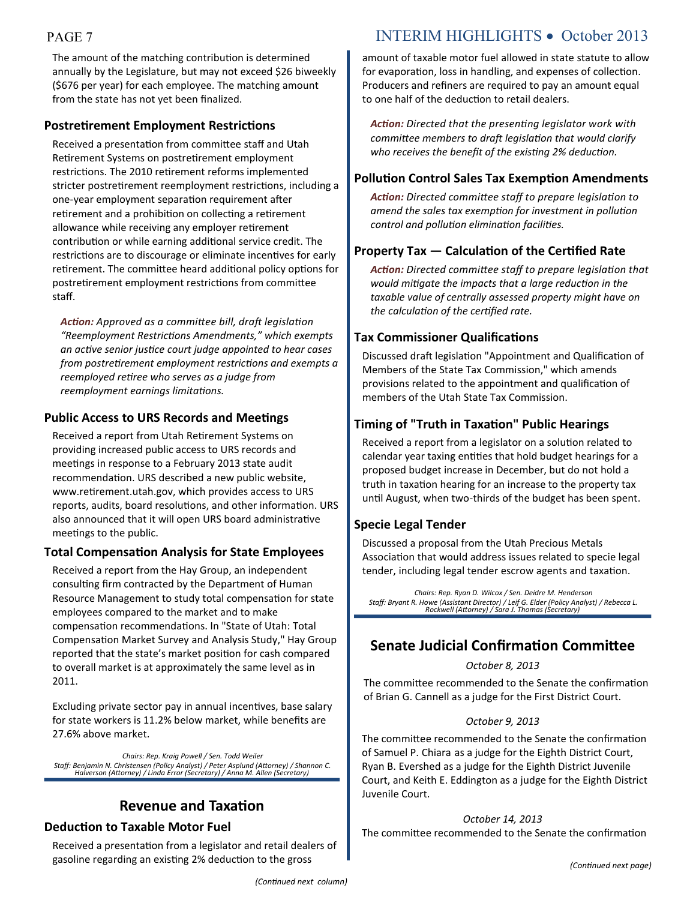The amount of the matching contribution is determined annually by the Legislature, but may not exceed \$26 biweekly (\$676 per year) for each employee. The matching amount from the state has not yet been finalized.

## **Postretirement Employment Restrictions**

Received a presentation from committee staff and Utah Retirement Systems on postretirement employment restrictions. The 2010 retirement reforms implemented stricter postretirement reemployment restrictions, including a one-year employment separation requirement after retirement and a prohibition on collecting a retirement allowance while receiving any employer retirement contribution or while earning additional service credit. The restrictions are to discourage or eliminate incentives for early retirement. The committee heard additional policy options for postretirement employment restrictions from committee staff.

*Action: Approved as a committee bill, draft legislation "Reemployment Restrictions Amendments," which exempts an active senior justice court judge appointed to hear cases from postretirement employment restrictions and exempts a reemployed retiree who serves as a judge from reemployment earnings limitations.*

## **Public Access to URS Records and Meetings**

Received a report from Utah Retirement Systems on providing increased public access to URS records and meetings in response to a February 2013 state audit recommendation. URS described a new public website, www.retirement.utah.gov, which provides access to URS reports, audits, board resolutions, and other information. URS also announced that it will open URS board administrative meetings to the public.

## **Total Compensation Analysis for State Employees**

Received a report from the Hay Group, an independent consulting firm contracted by the Department of Human Resource Management to study total compensation for state employees compared to the market and to make compensation recommendations. In "State of Utah: Total Compensation Market Survey and Analysis Study," Hay Group reported that the state's market position for cash compared to overall market is at approximately the same level as in 2011.

Excluding private sector pay in annual incentives, base salary for state workers is 11.2% below market, while benefits are 27.6% above market.

*Chairs: Rep. Kraig Powell / Sen. Todd Weiler Staff: Benjamin N. Christensen (Policy Analyst) / Peter Asplund (Attorney) / Shannon C. Halverson (Attorney) / Linda Error (Secretary) / Anna M. Allen (Secretary)*

## **Revenue and Taxation**

## **Deduction to Taxable Motor Fuel**

Received a presentation from a legislator and retail dealers of gasoline regarding an existing 2% deduction to the gross

## PAGE 7 INTERIM HIGHLIGHTS • October 2013

amount of taxable motor fuel allowed in state statute to allow for evaporation, loss in handling, and expenses of collection. Producers and refiners are required to pay an amount equal to one half of the deduction to retail dealers.

*Action: Directed that the presenting legislator work with committee members to draft legislation that would clarify who receives the benefit of the existing 2% deduction.*

## **Pollution Control Sales Tax Exemption Amendments**

*Action: Directed committee staff to prepare legislation to amend the sales tax exemption for investment in pollution control and pollution elimination facilities.*

## **Property Tax — Calculation of the Certified Rate**

*Action: Directed committee staff to prepare legislation that would mitigate the impacts that a large reduction in the taxable value of centrally assessed property might have on the calculation of the certified rate.*

## **Tax Commissioner Qualifications**

Discussed draft legislation "Appointment and Qualification of Members of the State Tax Commission," which amends provisions related to the appointment and qualification of members of the Utah State Tax Commission.

## **Timing of "Truth in Taxation" Public Hearings**

Received a report from a legislator on a solution related to calendar year taxing entities that hold budget hearings for a proposed budget increase in December, but do not hold a truth in taxation hearing for an increase to the property tax until August, when two-thirds of the budget has been spent.

## **Specie Legal Tender**

Discussed a proposal from the Utah Precious Metals Association that would address issues related to specie legal tender, including legal tender escrow agents and taxation.

*Chairs: Rep. Ryan D. Wilcox / Sen. Deidre M. Henderson Staff: Bryant R. Howe (Assistant Director) / Leif G. Elder (Policy Analyst) / Rebecca L. Rockwell (Attorney) / Sara J. Thomas (Secretary)*

## **Senate Judicial Confirmation Committee**

#### *October 8, 2013*

The committee recommended to the Senate the confirmation of Brian G. Cannell as a judge for the First District Court.

#### *October 9, 2013*

The committee recommended to the Senate the confirmation of Samuel P. Chiara as a judge for the Eighth District Court, Ryan B. Evershed as a judge for the Eighth District Juvenile Court, and Keith E. Eddington as a judge for the Eighth District Juvenile Court.

#### *October 14, 2013*

The committee recommended to the Senate the confirmation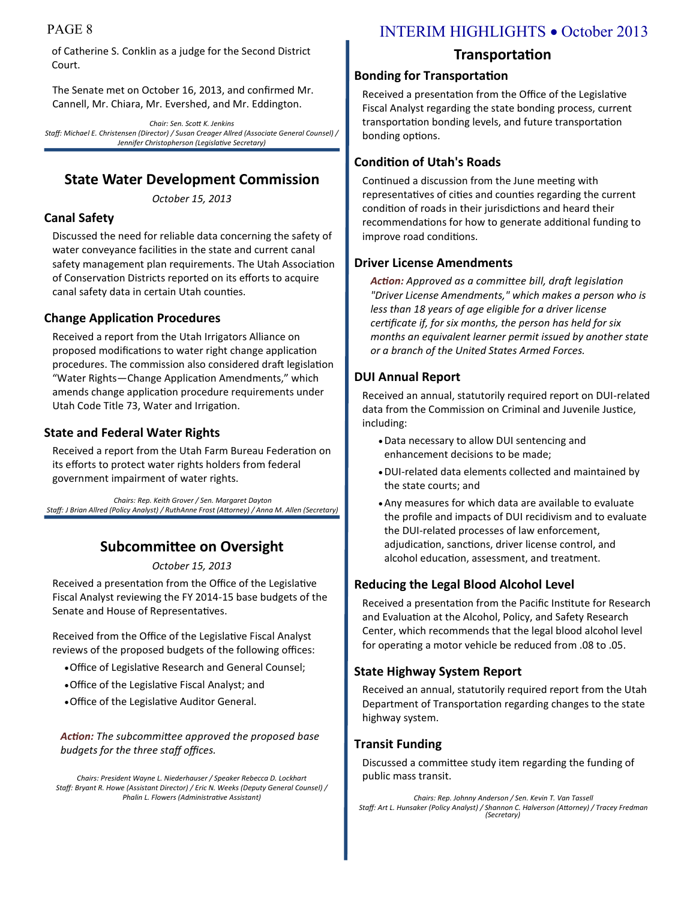of Catherine S. Conklin as a judge for the Second District Court.

The Senate met on October 16, 2013, and confirmed Mr. Cannell, Mr. Chiara, Mr. Evershed, and Mr. Eddington.

*Chair: Sen. Scott K. Jenkins Staff: Michael E. Christensen (Director) / Susan Creager Allred (Associate General Counsel) / Jennifer Christopherson (Legislative Secretary)*

## **State Water Development Commission**

*October 15, 2013*

## **Canal Safety**

Discussed the need for reliable data concerning the safety of water conveyance facilities in the state and current canal safety management plan requirements. The Utah Association of Conservation Districts reported on its efforts to acquire canal safety data in certain Utah counties.

## **Change Application Procedures**

Received a report from the Utah Irrigators Alliance on proposed modifications to water right change application procedures. The commission also considered draft legislation "Water Rights—Change Application Amendments," which amends change application procedure requirements under Utah Code Title 73, Water and Irrigation.

#### **State and Federal Water Rights**

Received a report from the Utah Farm Bureau Federation on its efforts to protect water rights holders from federal government impairment of water rights.

*Chairs: Rep. Keith Grover / Sen. Margaret Dayton Staff: J Brian Allred (Policy Analyst) / RuthAnne Frost (Attorney) / Anna M. Allen (Secretary)*

## **Subcommittee on Oversight**

*October 15, 2013*

Received a presentation from the Office of the Legislative Fiscal Analyst reviewing the FY 2014-15 base budgets of the Senate and House of Representatives.

Received from the Office of the Legislative Fiscal Analyst reviews of the proposed budgets of the following offices:

- Office of Legislative Research and General Counsel;
- Office of the Legislative Fiscal Analyst; and
- Office of the Legislative Auditor General.

*Action: The subcommittee approved the proposed base budgets for the three staff offices.*

*Chairs: President Wayne L. Niederhauser / Speaker Rebecca D. Lockhart Staff: Bryant R. Howe (Assistant Director) / Eric N. Weeks (Deputy General Counsel) / Phalin L. Flowers (Administrative Assistant)*

## PAGE 8 INTERIM HIGHLIGHTS • October 2013

## **Transportation**

#### **Bonding for Transportation**

Received a presentation from the Office of the Legislative Fiscal Analyst regarding the state bonding process, current transportation bonding levels, and future transportation bonding options.

## **Condition of Utah's Roads**

Continued a discussion from the June meeting with representatives of cities and counties regarding the current condition of roads in their jurisdictions and heard their recommendations for how to generate additional funding to improve road conditions.

## **Driver License Amendments**

*Action: Approved as a committee bill, draft legislation "Driver License Amendments," which makes a person who is less than 18 years of age eligible for a driver license certificate if, for six months, the person has held for six months an equivalent learner permit issued by another state or a branch of the United States Armed Forces.*

## **DUI Annual Report**

Received an annual, statutorily required report on DUI-related data from the Commission on Criminal and Juvenile Justice, including:

- Data necessary to allow DUI sentencing and enhancement decisions to be made;
- DUI-related data elements collected and maintained by the state courts; and
- Any measures for which data are available to evaluate the profile and impacts of DUI recidivism and to evaluate the DUI-related processes of law enforcement, adjudication, sanctions, driver license control, and alcohol education, assessment, and treatment.

## **Reducing the Legal Blood Alcohol Level**

Received a presentation from the Pacific Institute for Research and Evaluation at the Alcohol, Policy, and Safety Research Center, which recommends that the legal blood alcohol level for operating a motor vehicle be reduced from .08 to .05.

## **State Highway System Report**

Received an annual, statutorily required report from the Utah Department of Transportation regarding changes to the state highway system.

## **Transit Funding**

Discussed a committee study item regarding the funding of public mass transit.

*Chairs: Rep. Johnny Anderson / Sen. Kevin T. Van Tassell Staff: Art L. Hunsaker (Policy Analyst) / Shannon C. Halverson (Attorney) / Tracey Fredman (Secretary)*